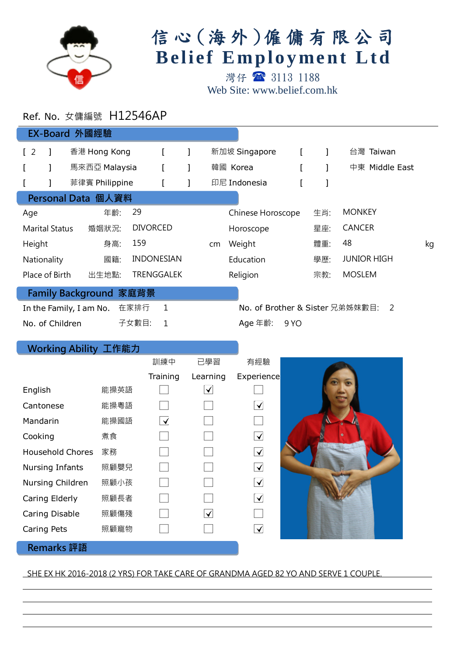

## 信心 (海外)僱傭有限公司 **Belief Employment Ltd**

灣仔 3113 1188 Web Site: www.belief.com.hk

## Ref. No. 女傭編號 H12546AP

| EX-Board 外國經驗                                                                            |                |  |                |                 |                   |    |           |                   |      |        |                    |  |
|------------------------------------------------------------------------------------------|----------------|--|----------------|-----------------|-------------------|----|-----------|-------------------|------|--------|--------------------|--|
| $\sqrt{2}$                                                                               |                |  | 香港 Hong Kong   |                 |                   |    |           | 新加坡 Singapore     |      |        | 台灣 Taiwan          |  |
|                                                                                          |                |  | 馬來西亞 Malaysia  |                 |                   |    |           | 韓國 Korea          |      |        | 中東 Middle East     |  |
|                                                                                          |                |  | 菲律賓 Philippine |                 |                   |    |           | 印尼 Indonesia      |      |        |                    |  |
| Personal Data 個人資料                                                                       |                |  |                |                 |                   |    |           |                   |      |        |                    |  |
| Age                                                                                      |                |  | 年齡:            | 29              |                   |    |           | Chinese Horoscope |      | 生肖:    | <b>MONKEY</b>      |  |
| <b>Marital Status</b>                                                                    |                |  | 婚姻狀況:          | <b>DIVORCED</b> |                   |    | Horoscope |                   | 星座:  | CANCER |                    |  |
| Height                                                                                   |                |  | 身高:            | 159             |                   | cm | Weight    |                   | 體重:  | 48     | kg                 |  |
|                                                                                          | Nationality    |  | 國籍:            |                 | <b>INDONESIAN</b> |    |           | Education         |      | 學歷:    | <b>JUNIOR HIGH</b> |  |
|                                                                                          | Place of Birth |  | 出生地點:          |                 | <b>TRENGGALEK</b> |    |           | Religion          |      | 宗教:    | <b>MOSLEM</b>      |  |
| Family Background 家庭背景                                                                   |                |  |                |                 |                   |    |           |                   |      |        |                    |  |
| 1<br>在家排行<br>No. of Brother & Sister 兄弟姊妹數目:<br>$\mathcal{P}$<br>In the Family, I am No. |                |  |                |                 |                   |    |           |                   |      |        |                    |  |
| No. of Children                                                                          |                |  |                | 子女數目:           | 1                 |    |           | Age 年齡:           | 9 YO |        |                    |  |

## Working Ability 工作能力

l

l

|                         |      | 訓練中                             | 已學習      | 有經驗                   |  |
|-------------------------|------|---------------------------------|----------|-----------------------|--|
|                         |      | Training                        | Learning | Experience            |  |
| English                 | 能操英語 |                                 | ✔        |                       |  |
| Cantonese               | 能操粵語 |                                 |          | ✔                     |  |
| Mandarin                | 能操國語 | $\overline{\blacktriangledown}$ |          |                       |  |
| Cooking                 | 煮食   |                                 |          | ⊻                     |  |
| <b>Household Chores</b> | 家務   |                                 |          | $\blacktriangleright$ |  |
| Nursing Infants         | 照顧嬰兒 |                                 |          | $\blacktriangledown$  |  |
| Nursing Children        | 照顧小孩 |                                 |          | $\blacktriangledown$  |  |
| Caring Elderly          | 照顧長者 |                                 |          | ✓                     |  |
| Caring Disable          | 照顧傷殘 |                                 | ✔        |                       |  |
| Caring Pets             | 照顧寵物 |                                 |          | $\blacktriangledown$  |  |
| <b>Remarks</b> 評語       |      |                                 |          |                       |  |

## SHE EX HK 2016-2018 (2 YRS) FOR TAKE CARE OF GRANDMA AGED 82 YO AND SERVE 1 COUPLE.